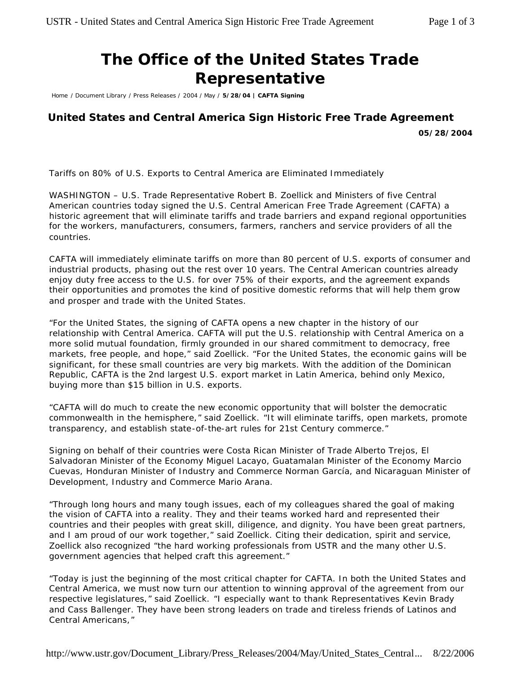## **The Office of the United States Trade Representative**

Home / Document Library / Press Releases / 2004 / May / **5/28/04 | CAFTA Signing**

## **United States and Central America Sign Historic Free Trade Agreement**

**05/28/2004**

*Tariffs on 80% of U.S. Exports to Central America are Eliminated Immediately*

WASHINGTON – U.S. Trade Representative Robert B. Zoellick and Ministers of five Central American countries today signed the U.S. Central American Free Trade Agreement (CAFTA) a historic agreement that will eliminate tariffs and trade barriers and expand regional opportunities for the workers, manufacturers, consumers, farmers, ranchers and service providers of all the countries.

CAFTA will immediately eliminate tariffs on more than 80 percent of U.S. exports of consumer and industrial products, phasing out the rest over 10 years. The Central American countries already enjoy duty free access to the U.S. for over 75% of their exports, and the agreement expands their opportunities and promotes the kind of positive domestic reforms that will help them grow and prosper and trade with the United States.

"For the United States, the signing of CAFTA opens a new chapter in the history of our relationship with Central America. CAFTA will put the U.S. relationship with Central America on a more solid mutual foundation, firmly grounded in our shared commitment to democracy, free markets, free people, and hope," said Zoellick. "For the United States, the economic gains will be significant, for these small countries are very big markets. With the addition of the Dominican Republic, CAFTA is the 2nd largest U.S. export market in Latin America, behind only Mexico, buying more than \$15 billion in U.S. exports.

"CAFTA will do much to create the new economic opportunity that will bolster the democratic commonwealth in the hemisphere," said Zoellick. "It will eliminate tariffs, open markets, promote transparency, and establish state-of-the-art rules for 21st Century commerce."

Signing on behalf of their countries were Costa Rican Minister of Trade Alberto Trejos, El Salvadoran Minister of the Economy Miguel Lacayo, Guatamalan Minister of the Economy Marcio Cuevas, Honduran Minister of Industry and Commerce Norman García, and Nicaraguan Minister of Development, Industry and Commerce Mario Arana.

"Through long hours and many tough issues, each of my colleagues shared the goal of making the vision of CAFTA into a reality. They and their teams worked hard and represented their countries and their peoples with great skill, diligence, and dignity. You have been great partners, and I am proud of our work together," said Zoellick. Citing their dedication, spirit and service, Zoellick also recognized "the hard working professionals from USTR and the many other U.S. government agencies that helped craft this agreement."

"Today is just the beginning of the most critical chapter for CAFTA. In both the United States and Central America, we must now turn our attention to winning approval of the agreement from our respective legislatures," said Zoellick. "I especially want to thank Representatives Kevin Brady and Cass Ballenger. They have been strong leaders on trade and tireless friends of Latinos and Central Americans,"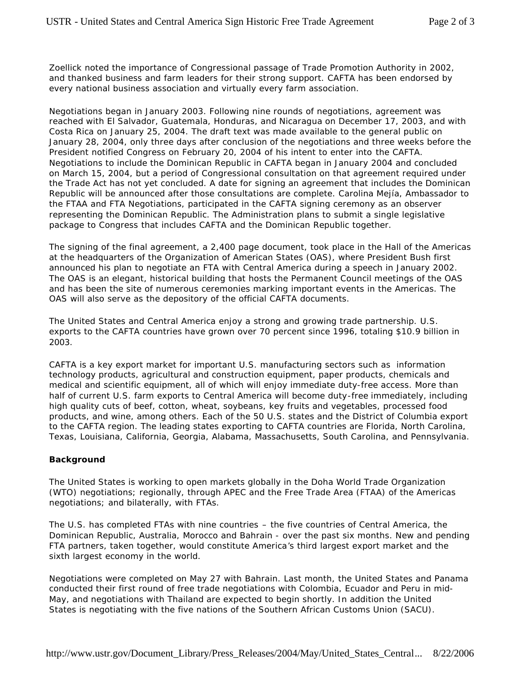Zoellick noted the importance of Congressional passage of Trade Promotion Authority in 2002, and thanked business and farm leaders for their strong support. CAFTA has been endorsed by every national business association and virtually every farm association.

Negotiations began in January 2003. Following nine rounds of negotiations, agreement was reached with El Salvador, Guatemala, Honduras, and Nicaragua on December 17, 2003, and with Costa Rica on January 25, 2004. The draft text was made available to the general public on January 28, 2004, only three days after conclusion of the negotiations and three weeks before the President notified Congress on February 20, 2004 of his intent to enter into the CAFTA. Negotiations to include the Dominican Republic in CAFTA began in January 2004 and concluded on March 15, 2004, but a period of Congressional consultation on that agreement required under the Trade Act has not yet concluded. A date for signing an agreement that includes the Dominican Republic will be announced after those consultations are complete. Carolina Mejía, Ambassador to the FTAA and FTA Negotiations, participated in the CAFTA signing ceremony as an observer representing the Dominican Republic. The Administration plans to submit a single legislative package to Congress that includes CAFTA and the Dominican Republic together.

The signing of the final agreement, a 2,400 page document, took place in the Hall of the Americas at the headquarters of the Organization of American States (OAS), where President Bush first announced his plan to negotiate an FTA with Central America during a speech in January 2002. The OAS is an elegant, historical building that hosts the Permanent Council meetings of the OAS and has been the site of numerous ceremonies marking important events in the Americas. The OAS will also serve as the depository of the official CAFTA documents.

The United States and Central America enjoy a strong and growing trade partnership. U.S. exports to the CAFTA countries have grown over 70 percent since 1996, totaling \$10.9 billion in 2003.

CAFTA is a key export market for important U.S. manufacturing sectors such as information technology products, agricultural and construction equipment, paper products, chemicals and medical and scientific equipment, all of which will enjoy immediate duty-free access. More than half of current U.S. farm exports to Central America will become duty-free immediately, including high quality cuts of beef, cotton, wheat, soybeans, key fruits and vegetables, processed food products, and wine, among others. Each of the 50 U.S. states and the District of Columbia export to the CAFTA region. The leading states exporting to CAFTA countries are Florida, North Carolina, Texas, Louisiana, California, Georgia, Alabama, Massachusetts, South Carolina, and Pennsylvania.

## **Background**

The United States is working to open markets globally in the Doha World Trade Organization (WTO) negotiations; regionally, through APEC and the Free Trade Area (FTAA) of the Americas negotiations; and bilaterally, with FTAs.

The U.S. has completed FTAs with nine countries – the five countries of Central America, the Dominican Republic, Australia, Morocco and Bahrain - over the past six months. New and pending FTA partners, taken together, would constitute America's third largest export market and the sixth largest economy in the world.

Negotiations were completed on May 27 with Bahrain. Last month, the United States and Panama conducted their first round of free trade negotiations with Colombia, Ecuador and Peru in mid-May, and negotiations with Thailand are expected to begin shortly. In addition the United States is negotiating with the five nations of the Southern African Customs Union (SACU).